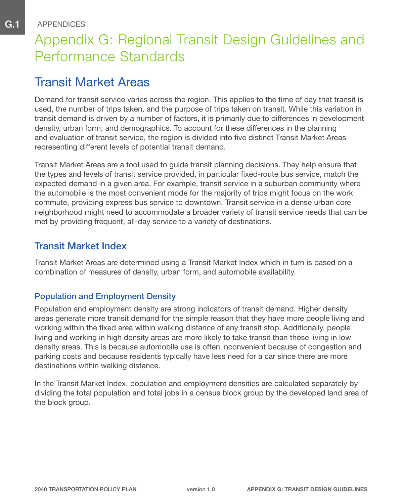# Appendix G: Regional Transit Design Guidelines and Performance Standards

# Transit Market Areas

APPENDICES

Demand for transit service varies across the region. This applies to the time of day that transit is used, the number of trips taken, and the purpose of trips taken on transit. While this variation in transit demand is driven by a number of factors, it is primarily due to differences in development density, urban form, and demographics. To account for these differences in the planning and evaluation of transit service, the region is divided into five distinct Transit Market Areas representing different levels of potential transit demand.

Transit Market Areas are a tool used to guide transit planning decisions. They help ensure that the types and levels of transit service provided, in particular fixed-route bus service, match the expected demand in a given area. For example, transit service in a suburban community where the automobile is the most convenient mode for the majority of trips might focus on the work commute, providing express bus service to downtown. Transit service in a dense urban core neighborhood might need to accommodate a broader variety of transit service needs that can be met by providing frequent, all-day service to a variety of destinations.

### Transit Market Index

Transit Market Areas are determined using a Transit Market Index which in turn is based on a combination of measures of density, urban form, and automobile availability.

### Population and Employment Density

Population and employment density are strong indicators of transit demand. Higher density areas generate more transit demand for the simple reason that they have more people living and working within the fixed area within walking distance of any transit stop. Additionally, people living and working in high density areas are more likely to take transit than those living in low density areas. This is because automobile use is often inconvenient because of congestion and parking costs and because residents typically have less need for a car since there are more destinations within walking distance.

In the Transit Market Index, population and employment densities are calculated separately by dividing the total population and total jobs in a census block group by the developed land area of the block group.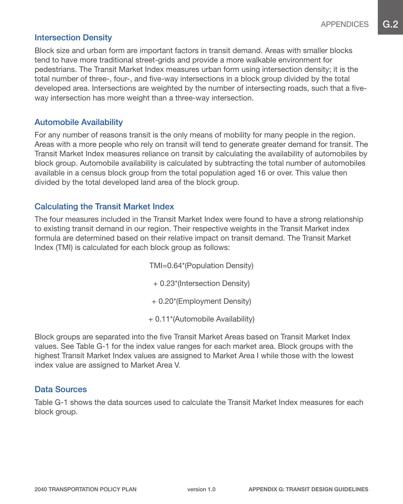#### Intersection Density

Block size and urban form are important factors in transit demand. Areas with smaller blocks tend to have more traditional street-grids and provide a more walkable environment for pedestrians. The Transit Market Index measures urban form using intersection density; it is the total number of three-, four-, and five-way intersections in a block group divided by the total developed area. Intersections are weighted by the number of intersecting roads, such that a fiveway intersection has more weight than a three-way intersection.

#### Automobile Availability

For any number of reasons transit is the only means of mobility for many people in the region. Areas with a more people who rely on transit will tend to generate greater demand for transit. The Transit Market Index measures reliance on transit by calculating the availability of automobiles by block group. Automobile availability is calculated by subtracting the total number of automobiles available in a census block group from the total population aged 16 or over. This value then divided by the total developed land area of the block group.

#### Calculating the Transit Market Index

The four measures included in the Transit Market Index were found to have a strong relationship to existing transit demand in our region. Their respective weights in the Transit Market index formula are determined based on their relative impact on transit demand. The Transit Market Index (TMI) is calculated for each block group as follows:

> TMI=0.64\*(Population Density) + 0.23\*(Intersection Density) + 0.20\*(Employment Density)

+ 0.11\*(Automobile Availability)

Block groups are separated into the five Transit Market Areas based on Transit Market Index values. See Table G-1 for the index value ranges for each market area. Block groups with the highest Transit Market Index values are assigned to Market Area I while those with the lowest index value are assigned to Market Area V.

#### Data Sources

Table G-1 shows the data sources used to calculate the Transit Market Index measures for each block group.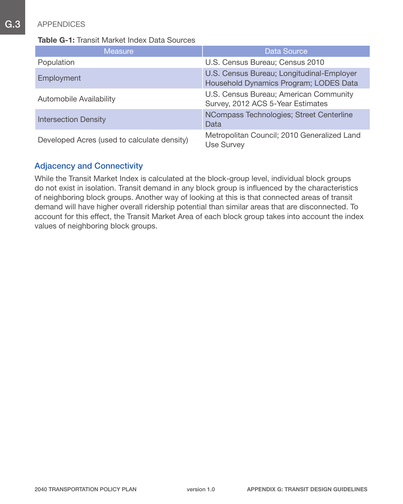#### Table G-1: Transit Market Index Data Sources

| <b>Measure</b>                              | <b>Data Source</b>                                                                  |
|---------------------------------------------|-------------------------------------------------------------------------------------|
| Population                                  | U.S. Census Bureau; Census 2010                                                     |
| Employment                                  | U.S. Census Bureau; Longitudinal-Employer<br>Household Dynamics Program; LODES Data |
| Automobile Availability                     | U.S. Census Bureau; American Community<br>Survey, 2012 ACS 5-Year Estimates         |
| <b>Intersection Density</b>                 | NCompass Technologies; Street Centerline<br>Data                                    |
| Developed Acres (used to calculate density) | Metropolitan Council; 2010 Generalized Land<br><b>Use Survey</b>                    |

### Adjacency and Connectivity

While the Transit Market Index is calculated at the block-group level, individual block groups do not exist in isolation. Transit demand in any block group is influenced by the characteristics of neighboring block groups. Another way of looking at this is that connected areas of transit demand will have higher overall ridership potential than similar areas that are disconnected. To account for this effect, the Transit Market Area of each block group takes into account the index values of neighboring block groups.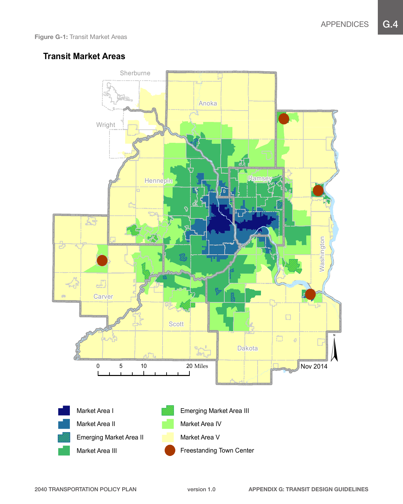### **Transit Market Areas**

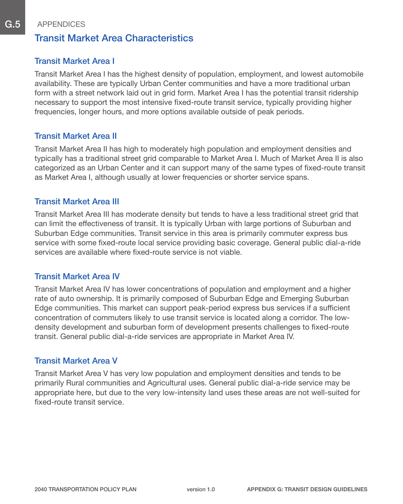### Transit Market Area Characteristics

### Transit Market Area I

Transit Market Area I has the highest density of population, employment, and lowest automobile availability. These are typically Urban Center communities and have a more traditional urban form with a street network laid out in grid form. Market Area I has the potential transit ridership necessary to support the most intensive fixed-route transit service, typically providing higher frequencies, longer hours, and more options available outside of peak periods.

#### Transit Market Area II

Transit Market Area II has high to moderately high population and employment densities and typically has a traditional street grid comparable to Market Area I. Much of Market Area II is also categorized as an Urban Center and it can support many of the same types of fixed-route transit as Market Area I, although usually at lower frequencies or shorter service spans.

#### Transit Market Area III

Transit Market Area III has moderate density but tends to have a less traditional street grid that can limit the effectiveness of transit. It is typically Urban with large portions of Suburban and Suburban Edge communities. Transit service in this area is primarily commuter express bus service with some fixed-route local service providing basic coverage. General public dial-a-ride services are available where fixed-route service is not viable.

#### Transit Market Area IV

Transit Market Area IV has lower concentrations of population and employment and a higher rate of auto ownership. It is primarily composed of Suburban Edge and Emerging Suburban Edge communities. This market can support peak-period express bus services if a sufficient concentration of commuters likely to use transit service is located along a corridor. The lowdensity development and suburban form of development presents challenges to fixed-route transit. General public dial-a-ride services are appropriate in Market Area IV.

#### Transit Market Area V

Transit Market Area V has very low population and employment densities and tends to be primarily Rural communities and Agricultural uses. General public dial-a-ride service may be appropriate here, but due to the very low-intensity land uses these areas are not well-suited for fixed-route transit service.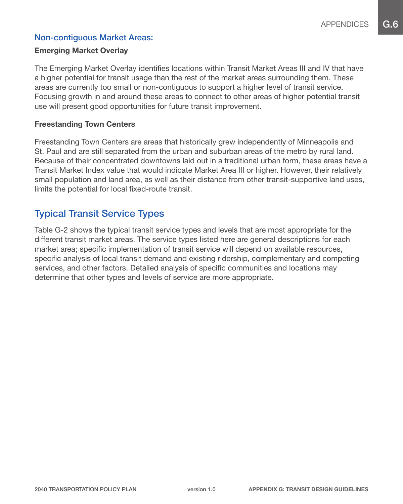### Non-contiguous Market Areas:

#### Emerging Market Overlay

The Emerging Market Overlay identifies locations within Transit Market Areas III and IV that have a higher potential for transit usage than the rest of the market areas surrounding them. These areas are currently too small or non-contiguous to support a higher level of transit service. Focusing growth in and around these areas to connect to other areas of higher potential transit use will present good opportunities for future transit improvement.

#### Freestanding Town Centers

Freestanding Town Centers are areas that historically grew independently of Minneapolis and St. Paul and are still separated from the urban and suburban areas of the metro by rural land. Because of their concentrated downtowns laid out in a traditional urban form, these areas have a Transit Market Index value that would indicate Market Area III or higher. However, their relatively small population and land area, as well as their distance from other transit-supportive land uses, limits the potential for local fixed-route transit.

### Typical Transit Service Types

Table G-2 shows the typical transit service types and levels that are most appropriate for the different transit market areas. The service types listed here are general descriptions for each market area; specific implementation of transit service will depend on available resources, specific analysis of local transit demand and existing ridership, complementary and competing services, and other factors. Detailed analysis of specific communities and locations may determine that other types and levels of service are more appropriate.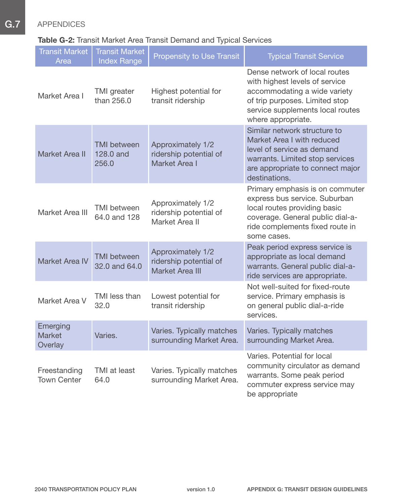### Table G-2: Transit Market Area Transit Demand and Typical Services

| <b>Transit Market</b><br>Area        | <b>Transit Market</b><br><b>Index Range</b> | <b>Propensity to Use Transit</b>                               | <b>Typical Transit Service</b>                                                                                                                                                              |
|--------------------------------------|---------------------------------------------|----------------------------------------------------------------|---------------------------------------------------------------------------------------------------------------------------------------------------------------------------------------------|
| Market Area I                        | <b>TMI</b> greater<br>than 256.0            | Highest potential for<br>transit ridership                     | Dense network of local routes<br>with highest levels of service<br>accommodating a wide variety<br>of trip purposes. Limited stop<br>service supplements local routes<br>where appropriate. |
| Market Area II                       | <b>TMI</b> between<br>128.0 and<br>256.0    | Approximately 1/2<br>ridership potential of<br>Market Area I   | Similar network structure to<br>Market Area I with reduced<br>level of service as demand<br>warrants. Limited stop services<br>are appropriate to connect major<br>destinations.            |
| Market Area III                      | <b>TMI</b> between<br>64.0 and 128          | Approximately 1/2<br>ridership potential of<br>Market Area II  | Primary emphasis is on commuter<br>express bus service. Suburban<br>local routes providing basic<br>coverage. General public dial-a-<br>ride complements fixed route in<br>some cases.      |
| <b>Market Area IV</b>                | <b>TMI</b> between<br>32.0 and 64.0         | Approximately 1/2<br>ridership potential of<br>Market Area III | Peak period express service is<br>appropriate as local demand<br>warrants. General public dial-a-<br>ride services are appropriate.                                                         |
| Market Area V                        | TMI less than<br>32.0                       | Lowest potential for<br>transit ridership                      | Not well-suited for fixed-route<br>service. Primary emphasis is<br>on general public dial-a-ride<br>services.                                                                               |
| Emerging<br><b>Market</b><br>Overlay | Varies.                                     | Varies. Typically matches<br>surrounding Market Area.          | Varies. Typically matches<br>surrounding Market Area.                                                                                                                                       |
| Freestanding<br><b>Town Center</b>   | TMI at least<br>64.0                        | Varies. Typically matches<br>surrounding Market Area.          | Varies. Potential for local<br>community circulator as demand<br>warrants. Some peak period<br>commuter express service may<br>be appropriate                                               |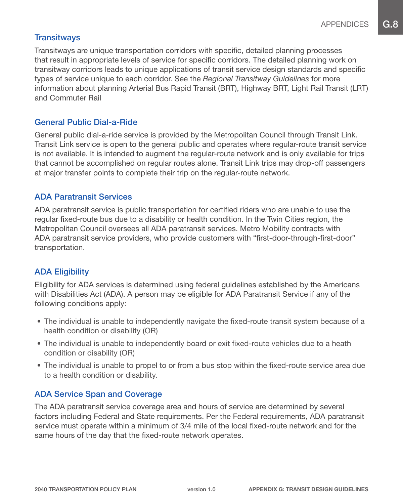#### **Transitways**

Transitways are unique transportation corridors with specific, detailed planning processes that result in appropriate levels of service for specific corridors. The detailed planning work on transitway corridors leads to unique applications of transit service design standards and specific types of service unique to each corridor. See the *Regional Transitway Guidelines* for more information about planning Arterial Bus Rapid Transit (BRT), Highway BRT, Light Rail Transit (LRT) and Commuter Rail

#### General Public Dial-a-Ride

General public dial-a-ride service is provided by the Metropolitan Council through Transit Link. Transit Link service is open to the general public and operates where regular-route transit service is not available. It is intended to augment the regular-route network and is only available for trips that cannot be accomplished on regular routes alone. Transit Link trips may drop-off passengers at major transfer points to complete their trip on the regular-route network.

### ADA Paratransit Services

ADA paratransit service is public transportation for certified riders who are unable to use the regular fixed-route bus due to a disability or health condition. In the Twin Cities region, the Metropolitan Council oversees all ADA paratransit services. Metro Mobility contracts with ADA paratransit service providers, who provide customers with "first-door-through-first-door" transportation.

### ADA Eligibility

Eligibility for ADA services is determined using federal guidelines established by the Americans with Disabilities Act (ADA). A person may be eligible for ADA Paratransit Service if any of the following conditions apply:

- The individual is unable to independently navigate the fixed-route transit system because of a health condition or disability (OR)
- The individual is unable to independently board or exit fixed-route vehicles due to a heath condition or disability (OR)
- The individual is unable to propel to or from a bus stop within the fixed-route service area due to a health condition or disability.

### ADA Service Span and Coverage

The ADA paratransit service coverage area and hours of service are determined by several factors including Federal and State requirements. Per the Federal requirements, ADA paratransit service must operate within a minimum of 3/4 mile of the local fixed-route network and for the same hours of the day that the fixed-route network operates.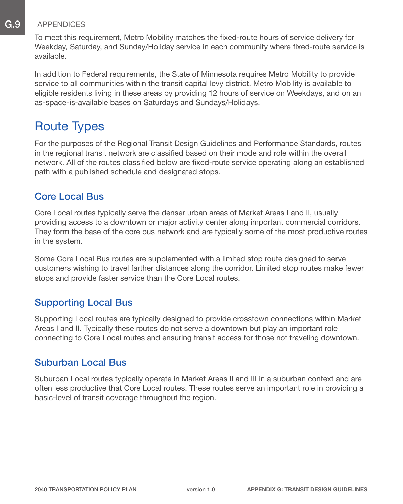To meet this requirement, Metro Mobility matches the fixed-route hours of service delivery for Weekday, Saturday, and Sunday/Holiday service in each community where fixed-route service is available.

In addition to Federal requirements, the State of Minnesota requires Metro Mobility to provide service to all communities within the transit capital levy district. Metro Mobility is available to eligible residents living in these areas by providing 12 hours of service on Weekdays, and on an as-space-is-available bases on Saturdays and Sundays/Holidays.

# Route Types

For the purposes of the Regional Transit Design Guidelines and Performance Standards, routes in the regional transit network are classified based on their mode and role within the overall network. All of the routes classified below are fixed-route service operating along an established path with a published schedule and designated stops.

### Core Local Bus

Core Local routes typically serve the denser urban areas of Market Areas I and II, usually providing access to a downtown or major activity center along important commercial corridors. They form the base of the core bus network and are typically some of the most productive routes in the system.

Some Core Local Bus routes are supplemented with a limited stop route designed to serve customers wishing to travel farther distances along the corridor. Limited stop routes make fewer stops and provide faster service than the Core Local routes.

### Supporting Local Bus

Supporting Local routes are typically designed to provide crosstown connections within Market Areas I and II. Typically these routes do not serve a downtown but play an important role connecting to Core Local routes and ensuring transit access for those not traveling downtown.

### Suburban Local Bus

Suburban Local routes typically operate in Market Areas II and III in a suburban context and are often less productive that Core Local routes. These routes serve an important role in providing a basic-level of transit coverage throughout the region.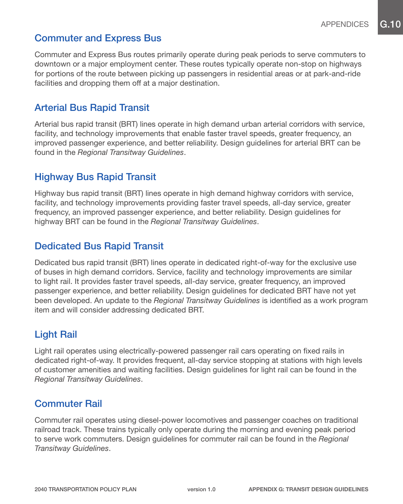### Commuter and Express Bus

Commuter and Express Bus routes primarily operate during peak periods to serve commuters to downtown or a major employment center. These routes typically operate non-stop on highways for portions of the route between picking up passengers in residential areas or at park-and-ride facilities and dropping them off at a major destination.

### Arterial Bus Rapid Transit

Arterial bus rapid transit (BRT) lines operate in high demand urban arterial corridors with service, facility, and technology improvements that enable faster travel speeds, greater frequency, an improved passenger experience, and better reliability. Design guidelines for arterial BRT can be found in the *Regional Transitway Guidelines*.

## Highway Bus Rapid Transit

Highway bus rapid transit (BRT) lines operate in high demand highway corridors with service, facility, and technology improvements providing faster travel speeds, all-day service, greater frequency, an improved passenger experience, and better reliability. Design guidelines for highway BRT can be found in the *Regional Transitway Guidelines*.

### Dedicated Bus Rapid Transit

Dedicated bus rapid transit (BRT) lines operate in dedicated right-of-way for the exclusive use of buses in high demand corridors. Service, facility and technology improvements are similar to light rail. It provides faster travel speeds, all-day service, greater frequency, an improved passenger experience, and better reliability. Design guidelines for dedicated BRT have not yet been developed. An update to the *Regional Transitway Guidelines* is identified as a work program item and will consider addressing dedicated BRT.

## Light Rail

Light rail operates using electrically-powered passenger rail cars operating on fixed rails in dedicated right-of-way. It provides frequent, all-day service stopping at stations with high levels of customer amenities and waiting facilities. Design guidelines for light rail can be found in the *Regional Transitway Guidelines*.

### Commuter Rail

Commuter rail operates using diesel-power locomotives and passenger coaches on traditional railroad track. These trains typically only operate during the morning and evening peak period to serve work commuters. Design guidelines for commuter rail can be found in the *Regional Transitway Guidelines*.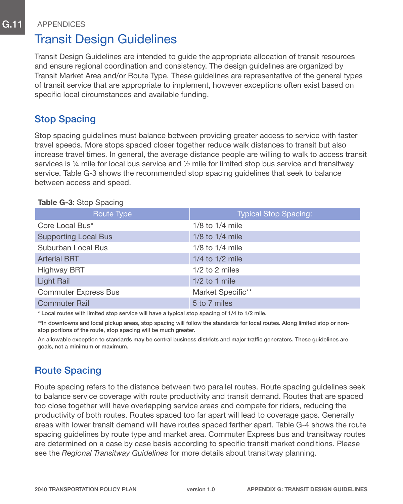# Transit Design Guidelines

Transit Design Guidelines are intended to guide the appropriate allocation of transit resources and ensure regional coordination and consistency. The design guidelines are organized by Transit Market Area and/or Route Type. These guidelines are representative of the general types of transit service that are appropriate to implement, however exceptions often exist based on specific local circumstances and available funding.

## Stop Spacing

Stop spacing guidelines must balance between providing greater access to service with faster travel speeds. More stops spaced closer together reduce walk distances to transit but also increase travel times. In general, the average distance people are willing to walk to access transit services is  $\frac{1}{4}$  mile for local bus service and  $\frac{1}{2}$  mile for limited stop bus service and transitway service. Table G-3 shows the recommended stop spacing guidelines that seek to balance between access and speed.

| Route Type                  | <b>Typical Stop Spacing:</b> |
|-----------------------------|------------------------------|
| Core Local Bus*             | $1/8$ to $1/4$ mile          |
| <b>Supporting Local Bus</b> | 1/8 to 1/4 mile              |
| Suburban Local Bus          | $1/8$ to $1/4$ mile          |
| <b>Arterial BRT</b>         | $1/4$ to $1/2$ mile          |
| <b>Highway BRT</b>          | $1/2$ to 2 miles             |
| <b>Light Rail</b>           | $1/2$ to 1 mile              |
| <b>Commuter Express Bus</b> | Market Specific**            |
| <b>Commuter Rail</b>        | 5 to 7 miles                 |
|                             |                              |

#### Table G-3: Stop Spacing

\* Local routes with limited stop service will have a typical stop spacing of 1/4 to 1/2 mile.

\*\*In downtowns and local pickup areas, stop spacing will follow the standards for local routes. Along limited stop or nonstop portions of the route, stop spacing will be much greater.

An allowable exception to standards may be central business districts and major traffic generators. These guidelines are goals, not a minimum or maximum.

## Route Spacing

Route spacing refers to the distance between two parallel routes. Route spacing guidelines seek to balance service coverage with route productivity and transit demand. Routes that are spaced too close together will have overlapping service areas and compete for riders, reducing the productivity of both routes. Routes spaced too far apart will lead to coverage gaps. Generally areas with lower transit demand will have routes spaced farther apart. Table G-4 shows the route spacing guidelines by route type and market area. Commuter Express bus and transitway routes are determined on a case by case basis according to specific transit market conditions. Please see the *Regional Transitway Guidelines* for more details about transitway planning.

version 1.0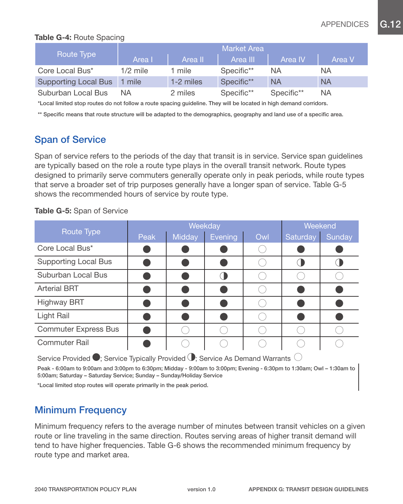#### Table G-4: Route Spacing

|                             | Market Area |           |            |            |           |  |  |  |
|-----------------------------|-------------|-----------|------------|------------|-----------|--|--|--|
| Route Type                  | Area I      | Area II   | Area III   | Area IV    | Area V    |  |  |  |
| Core Local Bus*             | $1/2$ mile  | 1 mile    | Specific** | ΝA         | ΝA        |  |  |  |
| <b>Supporting Local Bus</b> | mile        | 1-2 miles | Specific** | <b>NA</b>  | <b>NA</b> |  |  |  |
| Suburban Local Bus          | ΝA          | 2 miles   | Specific** | Specific** | ΝA        |  |  |  |

\*Local limited stop routes do not follow a route spacing guideline. They will be located in high demand corridors.

\*\* Specific means that route structure will be adapted to the demographics, geography and land use of a specific area.

### Span of Service

Span of service refers to the periods of the day that transit is in service. Service span guidelines are typically based on the role a route type plays in the overall transit network. Route types designed to primarily serve commuters generally operate only in peak periods, while route types that serve a broader set of trip purposes generally have a longer span of service. Table G-5 shows the recommended hours of service by route type.

#### Table G-5: Span of Service

|                             |      | Weekday | Weekend |     |                 |               |
|-----------------------------|------|---------|---------|-----|-----------------|---------------|
| Route Type                  | Peak | Midday  | Evening | Owl | <b>Saturday</b> | <b>Sunday</b> |
| Core Local Bus*             |      |         |         |     |                 |               |
| <b>Supporting Local Bus</b> |      |         |         |     |                 |               |
| Suburban Local Bus          |      |         |         |     |                 |               |
| <b>Arterial BRT</b>         |      |         |         |     |                 |               |
| <b>Highway BRT</b>          |      |         |         |     |                 |               |
| Light Rail                  |      |         |         |     |                 |               |
| <b>Commuter Express Bus</b> |      |         |         |     |                 |               |
| <b>Commuter Rail</b>        |      |         |         |     |                 |               |

Service Provided  $\bullet$ : Service Typically Provided  $\bullet$ : Service As Demand Warrants  $\circlearrowright$ 

Peak - 6:00am to 9:00am and 3:00pm to 6:30pm; Midday - 9:00am to 3:00pm; Evening - 6:30pm to 1:30am; Owl – 1:30am to 5:00am; Saturday – Saturday Service; Sunday – Sunday/Holiday Service

\*Local limited stop routes will operate primarily in the peak period.

### Minimum Frequency

Minimum frequency refers to the average number of minutes between transit vehicles on a given route or line traveling in the same direction. Routes serving areas of higher transit demand will tend to have higher frequencies. Table G-6 shows the recommended minimum frequency by route type and market area.

version 1.0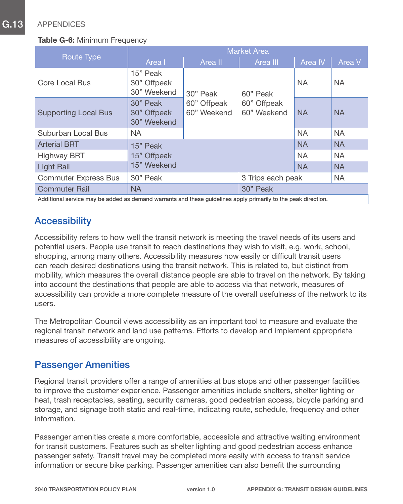#### **Table G-6: Minimum Frequency**

|                             | <b>Market Area</b>                     |                            |                            |           |           |  |  |  |  |
|-----------------------------|----------------------------------------|----------------------------|----------------------------|-----------|-----------|--|--|--|--|
| Route Type                  | Area I                                 | Area II                    |                            | Area IV   | Area V    |  |  |  |  |
| Core Local Bus              | 15" Peak<br>30" Offpeak<br>30" Weekend | 30" Peak                   | 60" Peak                   | <b>NA</b> | <b>NA</b> |  |  |  |  |
| <b>Supporting Local Bus</b> | 30" Peak<br>30" Offpeak<br>30" Weekend | 60" Offpeak<br>60" Weekend | 60" Offpeak<br>60" Weekend | <b>NA</b> | <b>NA</b> |  |  |  |  |
| Suburban Local Bus          | <b>NA</b>                              |                            |                            | <b>NA</b> | <b>NA</b> |  |  |  |  |
| <b>Arterial BRT</b>         | 15" Peak                               |                            |                            | <b>NA</b> | <b>NA</b> |  |  |  |  |
| <b>Highway BRT</b>          | 15" Offpeak                            |                            |                            | <b>NA</b> | <b>NA</b> |  |  |  |  |
| <b>Light Rail</b>           | 15" Weekend                            |                            |                            | <b>NA</b> | <b>NA</b> |  |  |  |  |
| <b>Commuter Express Bus</b> | 30" Peak                               |                            | 3 Trips each peak          |           | <b>NA</b> |  |  |  |  |
| <b>Commuter Rail</b>        | <b>NA</b>                              |                            | 30" Peak                   |           |           |  |  |  |  |

Additional service may be added as demand warrants and these guidelines apply primarily to the peak direction.

## **Accessibility**

Accessibility refers to how well the transit network is meeting the travel needs of its users and potential users. People use transit to reach destinations they wish to visit, e.g. work, school, shopping, among many others. Accessibility measures how easily or difficult transit users can reach desired destinations using the transit network. This is related to, but distinct from mobility, which measures the overall distance people are able to travel on the network. By taking into account the destinations that people are able to access via that network, measures of accessibility can provide a more complete measure of the overall usefulness of the network to its users.

The Metropolitan Council views accessibility as an important tool to measure and evaluate the regional transit network and land use patterns. Efforts to develop and implement appropriate measures of accessibility are ongoing.

### Passenger Amenities

Regional transit providers offer a range of amenities at bus stops and other passenger facilities to improve the customer experience. Passenger amenities include shelters, shelter lighting or heat, trash receptacles, seating, security cameras, good pedestrian access, bicycle parking and storage, and signage both static and real-time, indicating route, schedule, frequency and other information.

Passenger amenities create a more comfortable, accessible and attractive waiting environment for transit customers. Features such as shelter lighting and good pedestrian access enhance passenger safety. Transit travel may be completed more easily with access to transit service information or secure bike parking. Passenger amenities can also benefit the surrounding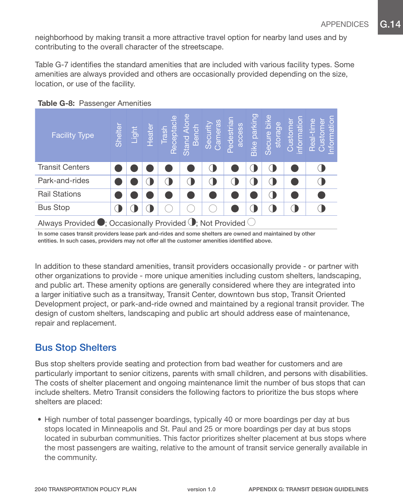neighborhood by making transit a more attractive travel option for nearby land uses and by contributing to the overall character of the streetscape.

Table G-7 identifies the standard amenities that are included with various facility types. Some amenities are always provided and others are occasionally provided depending on the size, location, or use of the facility.

| <b>Facility Type</b>                                                               | Shelter | Light<br>Light | Heater | $\overline{C}$<br>Trash<br>Receptac | Stand Alone<br>Bench | Cameras<br>Security | Pedestrial<br>access | Bike parking | Secure bike<br>storage | nformation<br>$\Phi$<br>Custom | Real-time<br>Ф<br>ΞË<br>Custo<br>nforn |
|------------------------------------------------------------------------------------|---------|----------------|--------|-------------------------------------|----------------------|---------------------|----------------------|--------------|------------------------|--------------------------------|----------------------------------------|
| <b>Transit Centers</b>                                                             |         |                |        |                                     |                      |                     |                      |              |                        |                                |                                        |
| Park-and-rides                                                                     |         |                |        |                                     |                      |                     |                      |              | $\left( \quad \right)$ |                                |                                        |
| <b>Rail Stations</b>                                                               |         |                |        |                                     |                      |                     |                      |              |                        |                                |                                        |
| <b>Bus Stop</b>                                                                    |         |                |        |                                     |                      |                     |                      |              | U                      |                                |                                        |
| Always Provided $\bullet$ ; Occasionally Provided $\bullet$ ; Not Provided $\circ$ |         |                |        |                                     |                      |                     |                      |              |                        |                                |                                        |

#### Table G-8: Passenger Amenities

In some cases transit providers lease park and-rides and some shelters are owned and maintained by other entities. In such cases, providers may not offer all the customer amenities identified above.

In addition to these standard amenities, transit providers occasionally provide - or partner with other organizations to provide - more unique amenities including custom shelters, landscaping, and public art. These amenity options are generally considered where they are integrated into a larger initiative such as a transitway, Transit Center, downtown bus stop, Transit Oriented Development project, or park-and-ride owned and maintained by a regional transit provider. The design of custom shelters, landscaping and public art should address ease of maintenance, repair and replacement.

### Bus Stop Shelters

Bus stop shelters provide seating and protection from bad weather for customers and are particularly important to senior citizens, parents with small children, and persons with disabilities. The costs of shelter placement and ongoing maintenance limit the number of bus stops that can include shelters. Metro Transit considers the following factors to prioritize the bus stops where shelters are placed:

• High number of total passenger boardings, typically 40 or more boardings per day at bus stops located in Minneapolis and St. Paul and 25 or more boardings per day at bus stops located in suburban communities. This factor prioritizes shelter placement at bus stops where the most passengers are waiting, relative to the amount of transit service generally available in the community.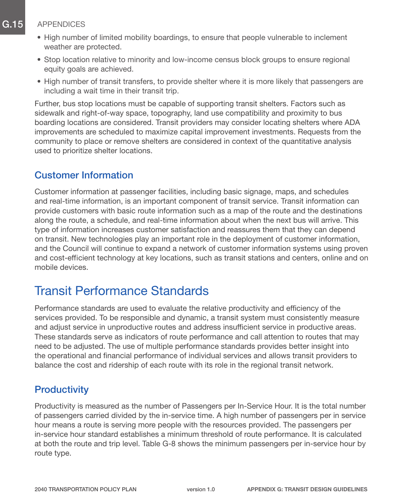- High number of limited mobility boardings, to ensure that people vulnerable to inclement weather are protected.
- Stop location relative to minority and low-income census block groups to ensure regional equity goals are achieved.
- High number of transit transfers, to provide shelter where it is more likely that passengers are including a wait time in their transit trip.

Further, bus stop locations must be capable of supporting transit shelters. Factors such as sidewalk and right-of-way space, topography, land use compatibility and proximity to bus boarding locations are considered. Transit providers may consider locating shelters where ADA improvements are scheduled to maximize capital improvement investments. Requests from the community to place or remove shelters are considered in context of the quantitative analysis used to prioritize shelter locations.

### Customer Information

Customer information at passenger facilities, including basic signage, maps, and schedules and real-time information, is an important component of transit service. Transit information can provide customers with basic route information such as a map of the route and the destinations along the route, a schedule, and real-time information about when the next bus will arrive. This type of information increases customer satisfaction and reassures them that they can depend on transit. New technologies play an important role in the deployment of customer information, and the Council will continue to expand a network of customer information systems using proven and cost-efficient technology at key locations, such as transit stations and centers, online and on mobile devices.

# Transit Performance Standards

Performance standards are used to evaluate the relative productivity and efficiency of the services provided. To be responsible and dynamic, a transit system must consistently measure and adjust service in unproductive routes and address insufficient service in productive areas. These standards serve as indicators of route performance and call attention to routes that may need to be adjusted. The use of multiple performance standards provides better insight into the operational and financial performance of individual services and allows transit providers to balance the cost and ridership of each route with its role in the regional transit network.

### **Productivity**

Productivity is measured as the number of Passengers per In-Service Hour. It is the total number of passengers carried divided by the in-service time. A high number of passengers per in service hour means a route is serving more people with the resources provided. The passengers per in-service hour standard establishes a minimum threshold of route performance. It is calculated at both the route and trip level. Table G-8 shows the minimum passengers per in-service hour by route type.

version 1.0